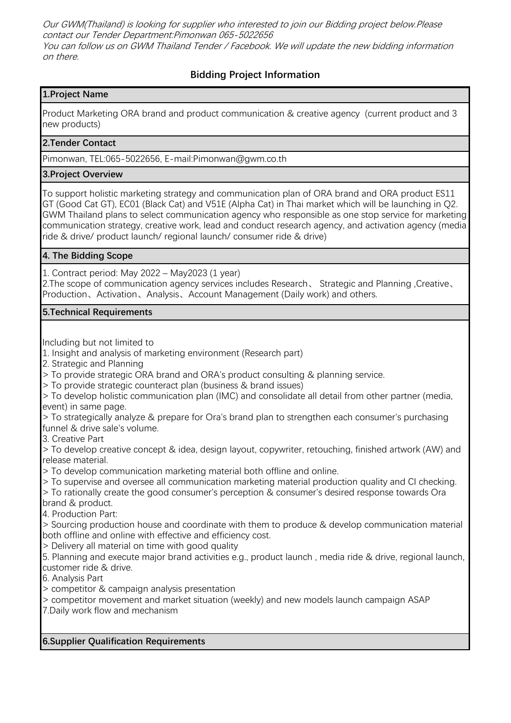Our GWM(Thailand) is looking for supplier who interested to join our Bidding project below.Please contact our Tender Department:Pimonwan 065-5022656 You can follow us on GWM Thailand Tender / Facebook. We will update the new bidding information on there.

# **Bidding Project Information**

## **1.Project Name**

Product Marketing ORA brand and product communication & creative agency (current product and 3 new products)

## **2.Tender Contact**

Pimonwan, TEL:065-5022656, E-mail:Pimonwan@gwm.co.th

#### **3.Project Overview**

To support holistic marketing strategy and communication plan of ORA brand and ORA product ES11 GT (Good Cat GT), EC01 (Black Cat) and V51E (Alpha Cat) in Thai market which will be launching in Q2. GWM Thailand plans to select communication agency who responsible as one stop service for marketing communication strategy, creative work, lead and conduct research agency, and activation agency (media ride & drive/ product launch/ regional launch/ consumer ride & drive)

## **4. The Bidding Scope**

1. Contract period: May 2022 – May2023 (1 year)

2.The scope of communication agency services includes Research、 Strategic and Planning ,Creative、 Production、Activation、Analysis、Account Management (Daily work) and others.

#### **5.Technical Requirements**

Including but not limited to

- 1. Insight and analysis of marketing environment (Research part)
- 2. Strategic and Planning
- > To provide strategic ORA brand and ORA's product consulting & planning service.
- > To provide strategic counteract plan (business & brand issues)
- > To develop holistic communication plan (IMC) and consolidate all detail from other partner (media, event) in same page.

> To strategically analyze & prepare for Ora's brand plan to strengthen each consumer's purchasing funnel & drive sale's volume.

3. Creative Part

> To develop creative concept & idea, design layout, copywriter, retouching, finished artwork (AW) and release material.

> To develop communication marketing material both offline and online.

- > To supervise and oversee all communication marketing material production quality and CI checking.
- > To rationally create the good consumer's perception & consumer's desired response towards Ora brand & product.
- 4. Production Part:

> Sourcing production house and coordinate with them to produce & develop communication material both offline and online with effective and efficiency cost.

- > Delivery all material on time with good quality
- 5. Planning and execute major brand activities e.g., product launch , media ride & drive, regional launch, customer ride & drive.
- 6. Analysis Part
- > competitor & campaign analysis presentation
- > competitor movement and market situation (weekly) and new models launch campaign ASAP
- 7.Daily work flow and mechanism

## **6.Supplier Qualification Requirements**